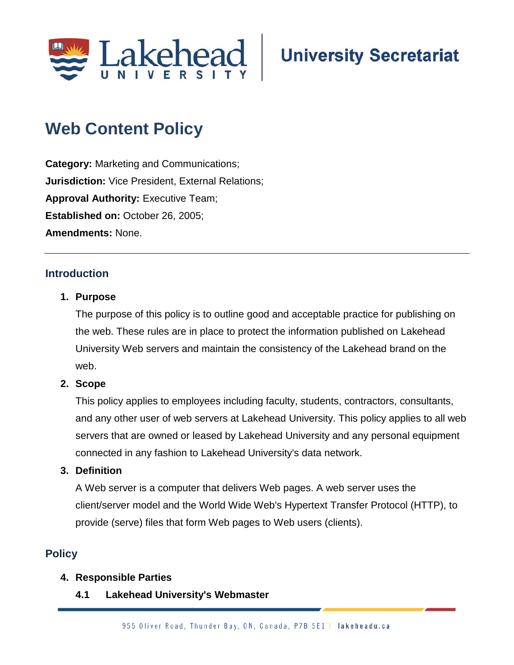

# **Web Content Policy**

**Category:** Marketing and Communications; **Jurisdiction:** Vice President, External Relations; **Approval Authority: Executive Team; Established on: October 26, 2005; Amendments:** None.

# **Introduction**

#### **1. Purpose**

The purpose of this policy is to outline good and acceptable practice for publishing on the web. These rules are in place to protect the information published on Lakehead University Web servers and maintain the consistency of the Lakehead brand on the web.

#### **2. Scope**

This policy applies to employees including faculty, students, contractors, consultants, and any other user of web servers at Lakehead University. This policy applies to all web servers that are owned or leased by Lakehead University and any personal equipment connected in any fashion to Lakehead University's data network.

#### **3. Definition**

A Web server is a computer that delivers Web pages. A web server uses the client/server model and the World Wide Web's Hypertext Transfer Protocol (HTTP), to provide (serve) files that form Web pages to Web users (clients).

# **Policy**

#### **4. Responsible Parties**

**4.1 Lakehead University's Webmaster**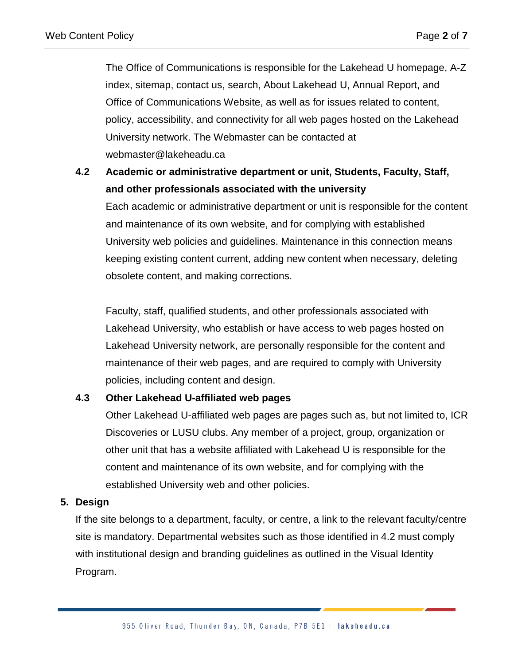The Office of Communications is responsible for the Lakehead U homepage, A-Z index, sitemap, contact us, search, About Lakehead U, Annual Report, and Office of Communications Website, as well as for issues related to content, policy, accessibility, and connectivity for all web pages hosted on the Lakehead University network. The Webmaster can be contacted at webmaster@lakeheadu.ca

# **4.2 Academic or administrative department or unit, Students, Faculty, Staff, and other professionals associated with the university**

Each academic or administrative department or unit is responsible for the content and maintenance of its own website, and for complying with established University web policies and guidelines. Maintenance in this connection means keeping existing content current, adding new content when necessary, deleting obsolete content, and making corrections.

Faculty, staff, qualified students, and other professionals associated with Lakehead University, who establish or have access to web pages hosted on Lakehead University network, are personally responsible for the content and maintenance of their web pages, and are required to comply with University policies, including content and design.

# **4.3 Other Lakehead U-affiliated web pages**

Other Lakehead U-affiliated web pages are pages such as, but not limited to, ICR Discoveries or LUSU clubs. Any member of a project, group, organization or other unit that has a website affiliated with Lakehead U is responsible for the content and maintenance of its own website, and for complying with the established University web and other policies.

# **5. Design**

If the site belongs to a department, faculty, or centre, a link to the relevant faculty/centre site is mandatory. Departmental websites such as those identified in 4.2 must comply with institutional design and branding guidelines as outlined in the Visual Identity Program.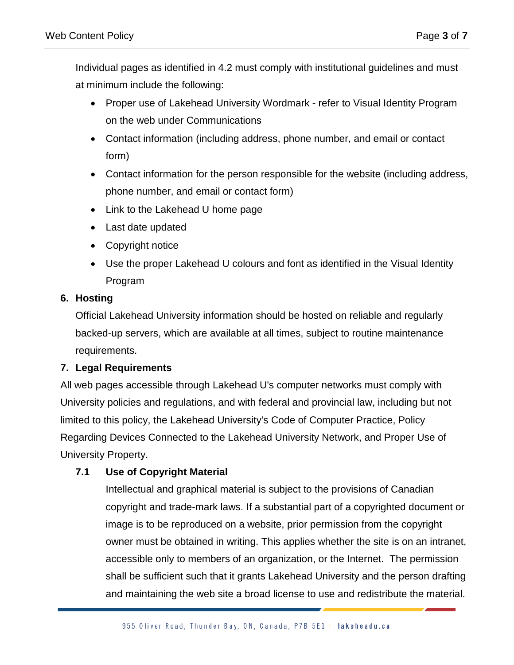Individual pages as identified in 4.2 must comply with institutional guidelines and must at minimum include the following:

- Proper use of Lakehead University Wordmark refer to Visual Identity Program on the web under Communications
- Contact information (including address, phone number, and email or contact form)
- Contact information for the person responsible for the website (including address, phone number, and email or contact form)
- Link to the Lakehead U home page
- Last date updated
- Copyright notice
- Use the proper Lakehead U colours and font as identified in the Visual Identity Program

# **6. Hosting**

Official Lakehead University information should be hosted on reliable and regularly backed-up servers, which are available at all times, subject to routine maintenance requirements.

# **7. Legal Requirements**

All web pages accessible through Lakehead U's computer networks must comply with University policies and regulations, and with federal and provincial law, including but not limited to this policy, the Lakehead University's Code of Computer Practice, Policy Regarding Devices Connected to the Lakehead University Network, and Proper Use of University Property.

# **7.1 Use of Copyright Material**

Intellectual and graphical material is subject to the provisions of Canadian copyright and trade-mark laws. If a substantial part of a copyrighted document or image is to be reproduced on a website, prior permission from the copyright owner must be obtained in writing. This applies whether the site is on an intranet, accessible only to members of an organization, or the Internet. The permission shall be sufficient such that it grants Lakehead University and the person drafting and maintaining the web site a broad license to use and redistribute the material.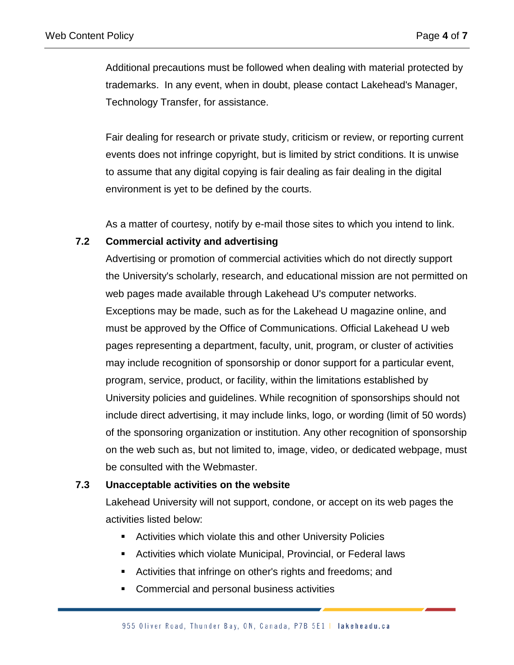Additional precautions must be followed when dealing with material protected by trademarks. In any event, when in doubt, please contact Lakehead's Manager, Technology Transfer, for assistance.

Fair dealing for research or private study, criticism or review, or reporting current events does not infringe copyright, but is limited by strict conditions. It is unwise to assume that any digital copying is fair dealing as fair dealing in the digital environment is yet to be defined by the courts.

As a matter of courtesy, notify by e-mail those sites to which you intend to link.

#### **7.2 Commercial activity and advertising**

Advertising or promotion of commercial activities which do not directly support the University's scholarly, research, and educational mission are not permitted on web pages made available through Lakehead U's computer networks. Exceptions may be made, such as for the Lakehead U magazine online, and must be approved by the Office of Communications. Official Lakehead U web pages representing a department, faculty, unit, program, or cluster of activities may include recognition of sponsorship or donor support for a particular event, program, service, product, or facility, within the limitations established by University policies and guidelines. While recognition of sponsorships should not include direct advertising, it may include links, logo, or wording (limit of 50 words) of the sponsoring organization or institution. Any other recognition of sponsorship on the web such as, but not limited to, image, video, or dedicated webpage, must be consulted with the Webmaster.

#### **7.3 Unacceptable activities on the website**

Lakehead University will not support, condone, or accept on its web pages the activities listed below:

- Activities which violate this and other University Policies
- Activities which violate Municipal, Provincial, or Federal laws
- Activities that infringe on other's rights and freedoms; and
- **Commercial and personal business activities**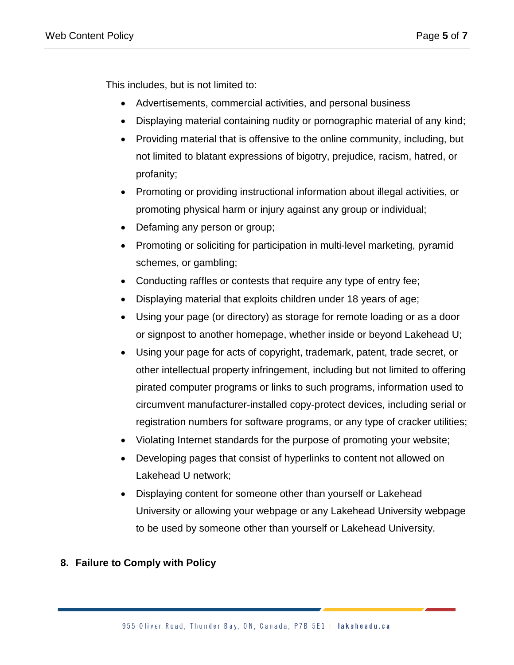This includes, but is not limited to:

- Advertisements, commercial activities, and personal business
- Displaying material containing nudity or pornographic material of any kind;
- Providing material that is offensive to the online community, including, but not limited to blatant expressions of bigotry, prejudice, racism, hatred, or profanity;
- Promoting or providing instructional information about illegal activities, or promoting physical harm or injury against any group or individual;
- Defaming any person or group;
- Promoting or soliciting for participation in multi-level marketing, pyramid schemes, or gambling;
- Conducting raffles or contests that require any type of entry fee;
- Displaying material that exploits children under 18 years of age;
- Using your page (or directory) as storage for remote loading or as a door or signpost to another homepage, whether inside or beyond Lakehead U;
- Using your page for acts of copyright, trademark, patent, trade secret, or other intellectual property infringement, including but not limited to offering pirated computer programs or links to such programs, information used to circumvent manufacturer-installed copy-protect devices, including serial or registration numbers for software programs, or any type of cracker utilities;
- Violating Internet standards for the purpose of promoting your website;
- Developing pages that consist of hyperlinks to content not allowed on Lakehead U network;
- Displaying content for someone other than yourself or Lakehead University or allowing your webpage or any Lakehead University webpage to be used by someone other than yourself or Lakehead University.

# **8. Failure to Comply with Policy**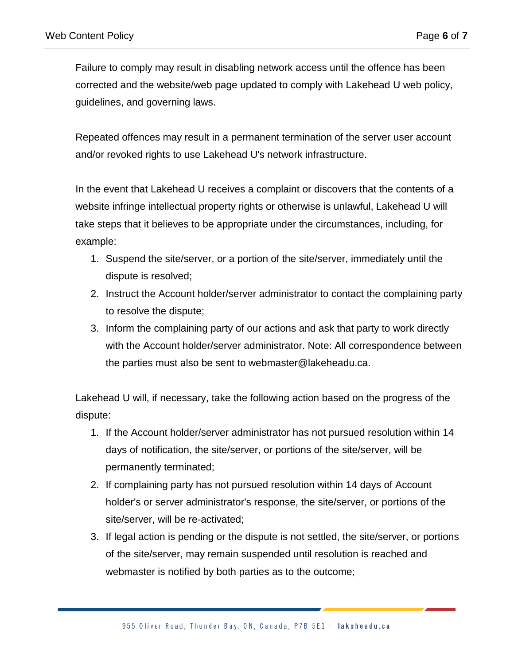Failure to comply may result in disabling network access until the offence has been corrected and the website/web page updated to comply with Lakehead U web policy, guidelines, and governing laws.

Repeated offences may result in a permanent termination of the server user account and/or revoked rights to use Lakehead U's network infrastructure.

In the event that Lakehead U receives a complaint or discovers that the contents of a website infringe intellectual property rights or otherwise is unlawful, Lakehead U will take steps that it believes to be appropriate under the circumstances, including, for example:

- 1. Suspend the site/server, or a portion of the site/server, immediately until the dispute is resolved;
- 2. Instruct the Account holder/server administrator to contact the complaining party to resolve the dispute;
- 3. Inform the complaining party of our actions and ask that party to work directly with the Account holder/server administrator. Note: All correspondence between the parties must also be sent to webmaster@lakeheadu.ca.

Lakehead U will, if necessary, take the following action based on the progress of the dispute:

- 1. If the Account holder/server administrator has not pursued resolution within 14 days of notification, the site/server, or portions of the site/server, will be permanently terminated;
- 2. If complaining party has not pursued resolution within 14 days of Account holder's or server administrator's response, the site/server, or portions of the site/server, will be re-activated;
- 3. If legal action is pending or the dispute is not settled, the site/server, or portions of the site/server, may remain suspended until resolution is reached and webmaster is notified by both parties as to the outcome;